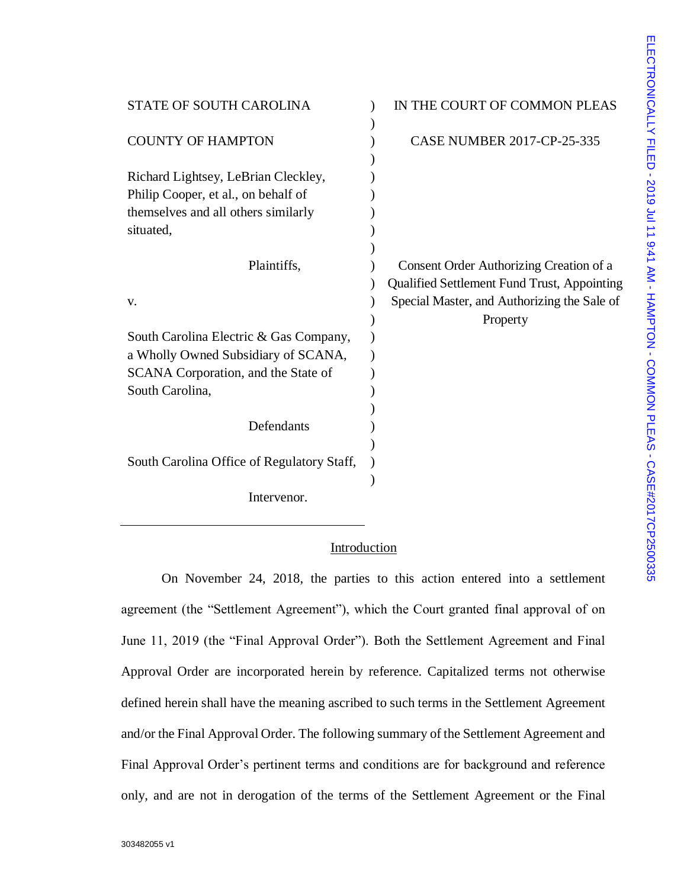| <b>STATE OF SOUTH CAROLINA</b>                                             | IN THE COURT OF COMMON PLEAS                                                                  |
|----------------------------------------------------------------------------|-----------------------------------------------------------------------------------------------|
| <b>COUNTY OF HAMPTON</b>                                                   | <b>CASE NUMBER 2017-CP-25-335</b>                                                             |
| Richard Lightsey, LeBrian Cleckley,<br>Philip Cooper, et al., on behalf of |                                                                                               |
| themselves and all others similarly<br>situated,                           |                                                                                               |
| Plaintiffs,                                                                | Consent Order Authorizing Creation of a<br><b>Qualified Settlement Fund Trust, Appointing</b> |
| V.                                                                         | Special Master, and Authorizing the Sale of<br>Property                                       |
| South Carolina Electric & Gas Company,                                     |                                                                                               |
| a Wholly Owned Subsidiary of SCANA,<br>SCANA Corporation, and the State of |                                                                                               |
| South Carolina,                                                            |                                                                                               |
| Defendants                                                                 |                                                                                               |
| South Carolina Office of Regulatory Staff,                                 |                                                                                               |
| Intervenor.                                                                |                                                                                               |

# **Introduction**

On November 24, 2018, the parties to this action entered into a settlement agreement (the "Settlement Agreement"), which the Court granted final approval of on June 11, 2019 (the "Final Approval Order"). Both the Settlement Agreement and Final Approval Order are incorporated herein by reference. Capitalized terms not otherwise defined herein shall have the meaning ascribed to such terms in the Settlement Agreement and/or the Final Approval Order. The following summary of the Settlement Agreement and Final Approval Order's pertinent terms and conditions are for background and reference only, and are not in derogation of the terms of the Settlement Agreement or the Final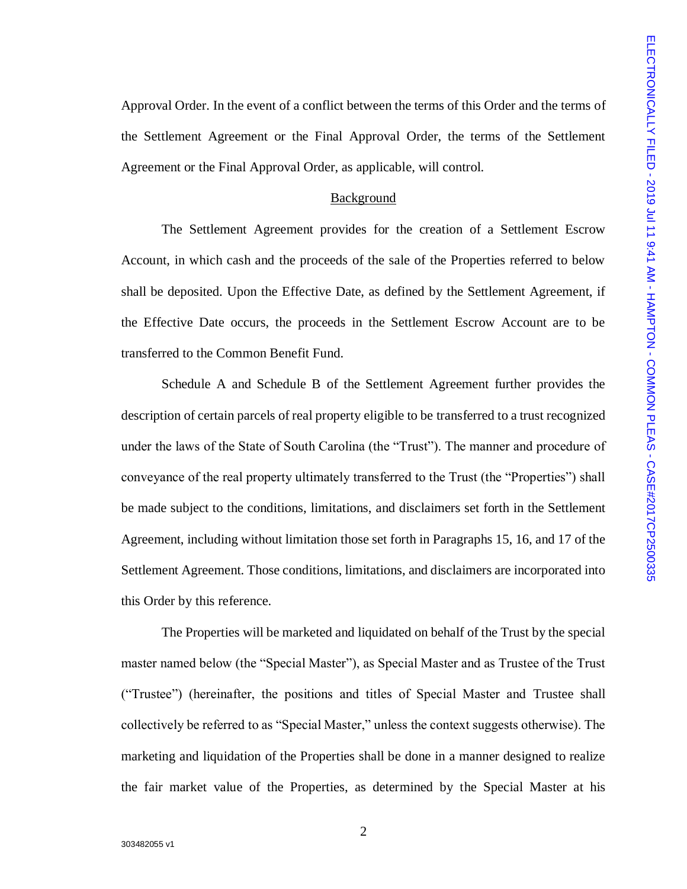Approval Order. In the event of a conflict between the terms of this Order and the terms of the Settlement Agreement or the Final Approval Order, the terms of the Settlement Agreement or the Final Approval Order, as applicable, will control.

# Background

The Settlement Agreement provides for the creation of a Settlement Escrow Account, in which cash and the proceeds of the sale of the Properties referred to below shall be deposited. Upon the Effective Date, as defined by the Settlement Agreement, if the Effective Date occurs, the proceeds in the Settlement Escrow Account are to be transferred to the Common Benefit Fund.

Schedule A and Schedule B of the Settlement Agreement further provides the description of certain parcels of real property eligible to be transferred to a trust recognized under the laws of the State of South Carolina (the "Trust"). The manner and procedure of conveyance of the real property ultimately transferred to the Trust (the "Properties") shall be made subject to the conditions, limitations, and disclaimers set forth in the Settlement Agreement, including without limitation those set forth in Paragraphs 15, 16, and 17 of the Settlement Agreement. Those conditions, limitations, and disclaimers are incorporated into this Order by this reference.

The Properties will be marketed and liquidated on behalf of the Trust by the special master named below (the "Special Master"), as Special Master and as Trustee of the Trust ("Trustee") (hereinafter, the positions and titles of Special Master and Trustee shall collectively be referred to as "Special Master," unless the context suggests otherwise). The marketing and liquidation of the Properties shall be done in a manner designed to realize the fair market value of the Properties, as determined by the Special Master at his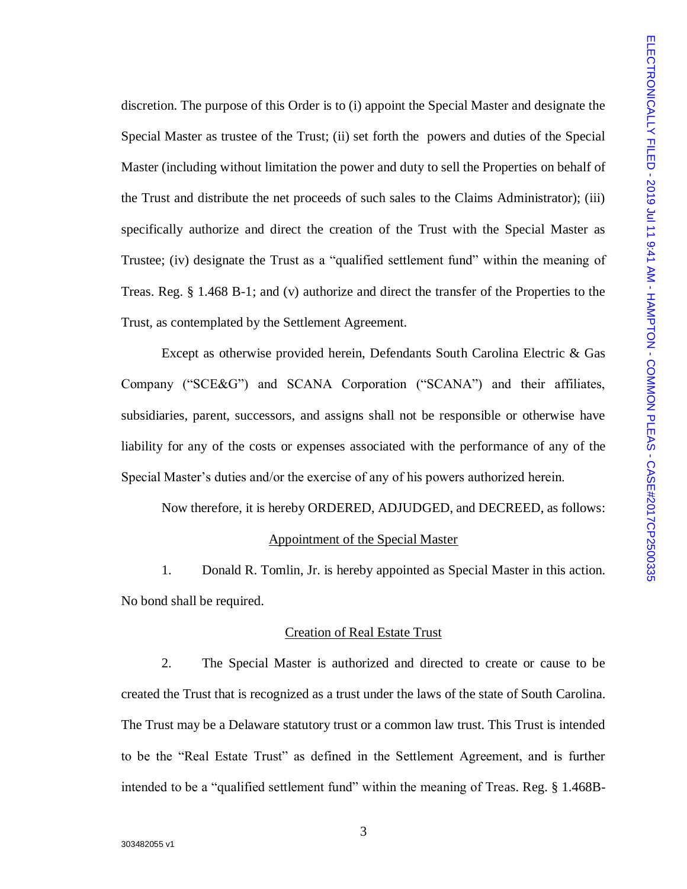discretion. The purpose of this Order is to (i) appoint the Special Master and designate the Special Master as trustee of the Trust; (ii) set forth the powers and duties of the Special Master (including without limitation the power and duty to sell the Properties on behalf of the Trust and distribute the net proceeds of such sales to the Claims Administrator); (iii) specifically authorize and direct the creation of the Trust with the Special Master as Trustee; (iv) designate the Trust as a "qualified settlement fund" within the meaning of Treas. Reg. § 1.468 B-1; and (v) authorize and direct the transfer of the Properties to the Trust, as contemplated by the Settlement Agreement.

Except as otherwise provided herein, Defendants South Carolina Electric & Gas Company ("SCE&G") and SCANA Corporation ("SCANA") and their affiliates, subsidiaries, parent, successors, and assigns shall not be responsible or otherwise have liability for any of the costs or expenses associated with the performance of any of the Special Master's duties and/or the exercise of any of his powers authorized herein.

Now therefore, it is hereby ORDERED, ADJUDGED, and DECREED, as follows: Appointment of the Special Master

1. Donald R. Tomlin, Jr. is hereby appointed as Special Master in this action. No bond shall be required.

## Creation of Real Estate Trust

2. The Special Master is authorized and directed to create or cause to be created the Trust that is recognized as a trust under the laws of the state of South Carolina. The Trust may be a Delaware statutory trust or a common law trust. This Trust is intended to be the "Real Estate Trust" as defined in the Settlement Agreement, and is further intended to be a "qualified settlement fund" within the meaning of Treas. Reg. § 1.468B-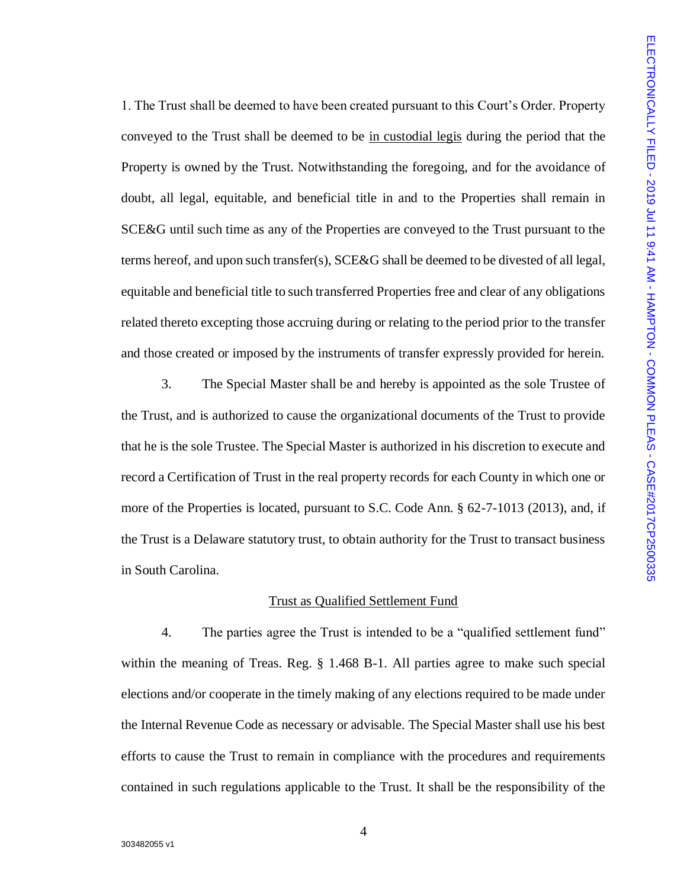1. The Trust shall be deemed to have been created pursuant to this Court's Order. Property conveyed to the Trust shall be deemed to be in custodial legis during the period that the Property is owned by the Trust. Notwithstanding the foregoing, and for the avoidance of doubt, all legal, equitable, and beneficial title in and to the Properties shall remain in SCE&G until such time as any of the Properties are conveyed to the Trust pursuant to the terms hereof, and upon such transfer(s), SCE&G shall be deemed to be divested of all legal, equitable and beneficial title to such transferred Properties free and clear of any obligations related thereto excepting those accruing during or relating to the period prior to the transfer and those created or imposed by the instruments of transfer expressly provided for herein.

3. The Special Master shall be and hereby is appointed as the sole Trustee of the Trust, and is authorized to cause the organizational documents of the Trust to provide that he is the sole Trustee. The Special Master is authorized in his discretion to execute and record a Certification of Trust in the real property records for each County in which one or more of the Properties is located, pursuant to S.C. Code Ann. § 62-7-1013 (2013), and, if the Trust is a Delaware statutory trust, to obtain authority for the Trust to transact business in South Carolina.

## Trust as Qualified Settlement Fund

4. The parties agree the Trust is intended to be a "qualified settlement fund" within the meaning of Treas. Reg. § 1.468 B-1. All parties agree to make such special elections and/or cooperate in the timely making of any elections required to be made under the Internal Revenue Code as necessary or advisable. The Special Master shall use his best efforts to cause the Trust to remain in compliance with the procedures and requirements contained in such regulations applicable to the Trust. It shall be the responsibility of the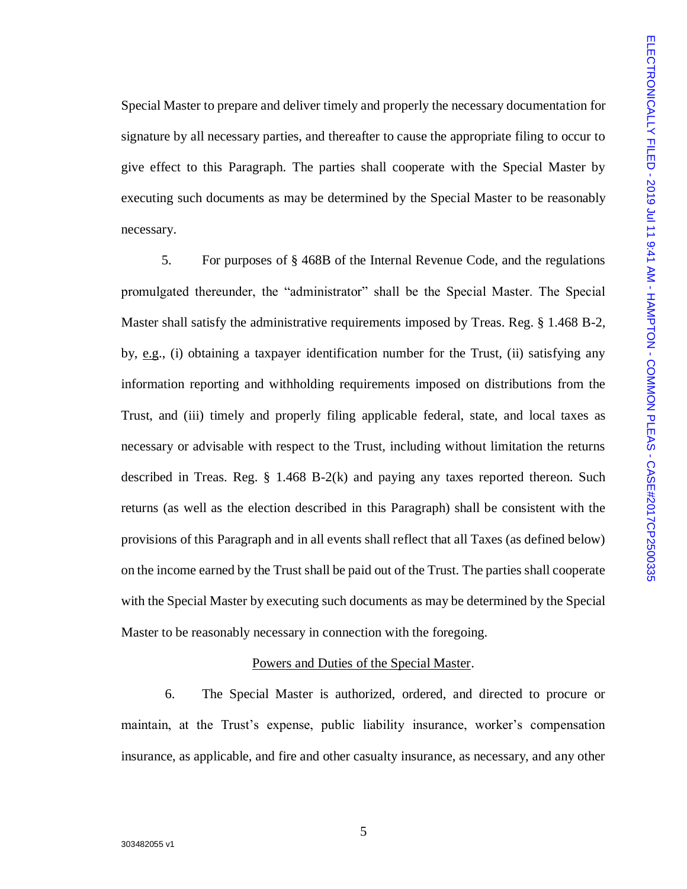Special Master to prepare and deliver timely and properly the necessary documentation for signature by all necessary parties, and thereafter to cause the appropriate filing to occur to give effect to this Paragraph. The parties shall cooperate with the Special Master by executing such documents as may be determined by the Special Master to be reasonably necessary.

5. For purposes of § 468B of the Internal Revenue Code, and the regulations promulgated thereunder, the "administrator" shall be the Special Master. The Special Master shall satisfy the administrative requirements imposed by Treas. Reg. § 1.468 B-2, by, e.g., (i) obtaining a taxpayer identification number for the Trust, (ii) satisfying any information reporting and withholding requirements imposed on distributions from the Trust, and (iii) timely and properly filing applicable federal, state, and local taxes as necessary or advisable with respect to the Trust, including without limitation the returns described in Treas. Reg. § 1.468 B-2(k) and paying any taxes reported thereon. Such returns (as well as the election described in this Paragraph) shall be consistent with the provisions of this Paragraph and in all events shall reflect that all Taxes (as defined below) on the income earned by the Trust shall be paid out of the Trust. The parties shall cooperate with the Special Master by executing such documents as may be determined by the Special Master to be reasonably necessary in connection with the foregoing.

# Powers and Duties of the Special Master.

6. The Special Master is authorized, ordered, and directed to procure or maintain, at the Trust's expense, public liability insurance, worker's compensation insurance, as applicable, and fire and other casualty insurance, as necessary, and any other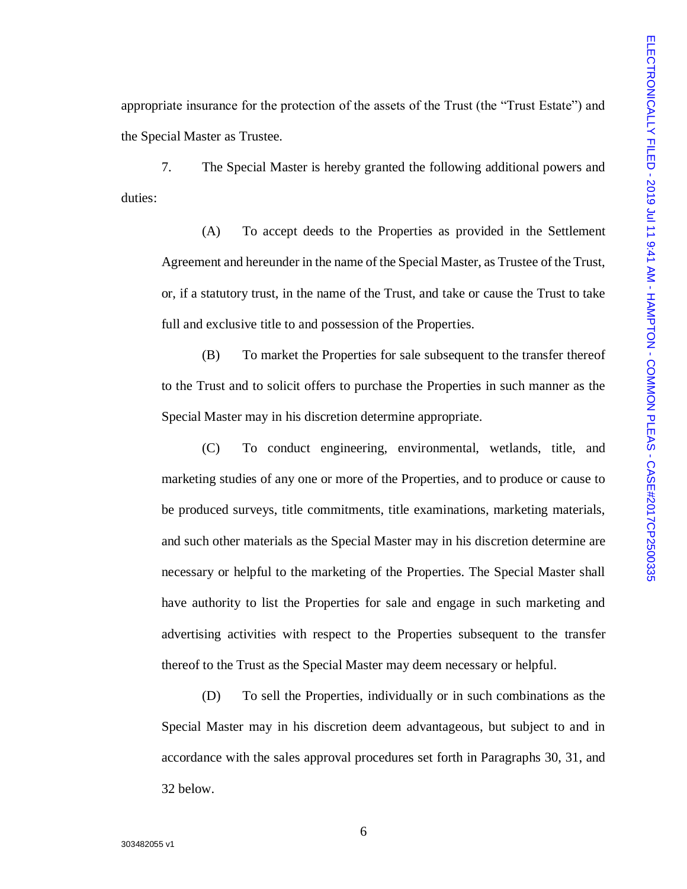appropriate insurance for the protection of the assets of the Trust (the "Trust Estate") and the Special Master as Trustee.

7. The Special Master is hereby granted the following additional powers and duties:

(A) To accept deeds to the Properties as provided in the Settlement Agreement and hereunder in the name of the Special Master, as Trustee of the Trust, or, if a statutory trust, in the name of the Trust, and take or cause the Trust to take full and exclusive title to and possession of the Properties.

(B) To market the Properties for sale subsequent to the transfer thereof to the Trust and to solicit offers to purchase the Properties in such manner as the Special Master may in his discretion determine appropriate.

(C) To conduct engineering, environmental, wetlands, title, and marketing studies of any one or more of the Properties, and to produce or cause to be produced surveys, title commitments, title examinations, marketing materials, and such other materials as the Special Master may in his discretion determine are necessary or helpful to the marketing of the Properties. The Special Master shall have authority to list the Properties for sale and engage in such marketing and advertising activities with respect to the Properties subsequent to the transfer thereof to the Trust as the Special Master may deem necessary or helpful.

(D) To sell the Properties, individually or in such combinations as the Special Master may in his discretion deem advantageous, but subject to and in accordance with the sales approval procedures set forth in Paragraphs 30, 31, and 32 below.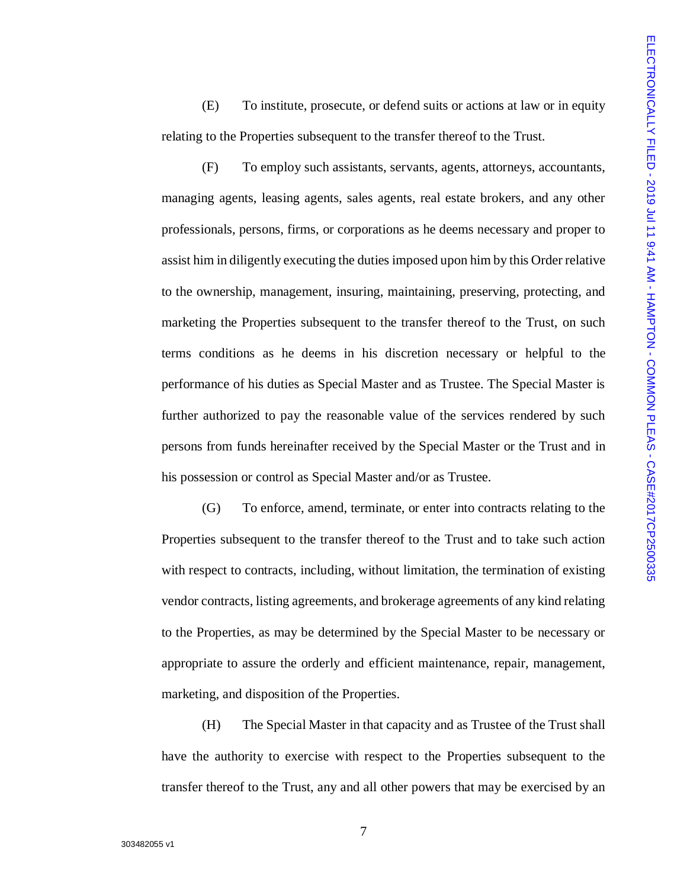(E) To institute, prosecute, or defend suits or actions at law or in equity relating to the Properties subsequent to the transfer thereof to the Trust.

(F) To employ such assistants, servants, agents, attorneys, accountants, managing agents, leasing agents, sales agents, real estate brokers, and any other professionals, persons, firms, or corporations as he deems necessary and proper to assist him in diligently executing the duties imposed upon him by this Order relative to the ownership, management, insuring, maintaining, preserving, protecting, and marketing the Properties subsequent to the transfer thereof to the Trust, on such terms conditions as he deems in his discretion necessary or helpful to the performance of his duties as Special Master and as Trustee. The Special Master is further authorized to pay the reasonable value of the services rendered by such persons from funds hereinafter received by the Special Master or the Trust and in his possession or control as Special Master and/or as Trustee.

(G) To enforce, amend, terminate, or enter into contracts relating to the Properties subsequent to the transfer thereof to the Trust and to take such action with respect to contracts, including, without limitation, the termination of existing vendor contracts, listing agreements, and brokerage agreements of any kind relating to the Properties, as may be determined by the Special Master to be necessary or appropriate to assure the orderly and efficient maintenance, repair, management, marketing, and disposition of the Properties.

(H) The Special Master in that capacity and as Trustee of the Trust shall have the authority to exercise with respect to the Properties subsequent to the transfer thereof to the Trust, any and all other powers that may be exercised by an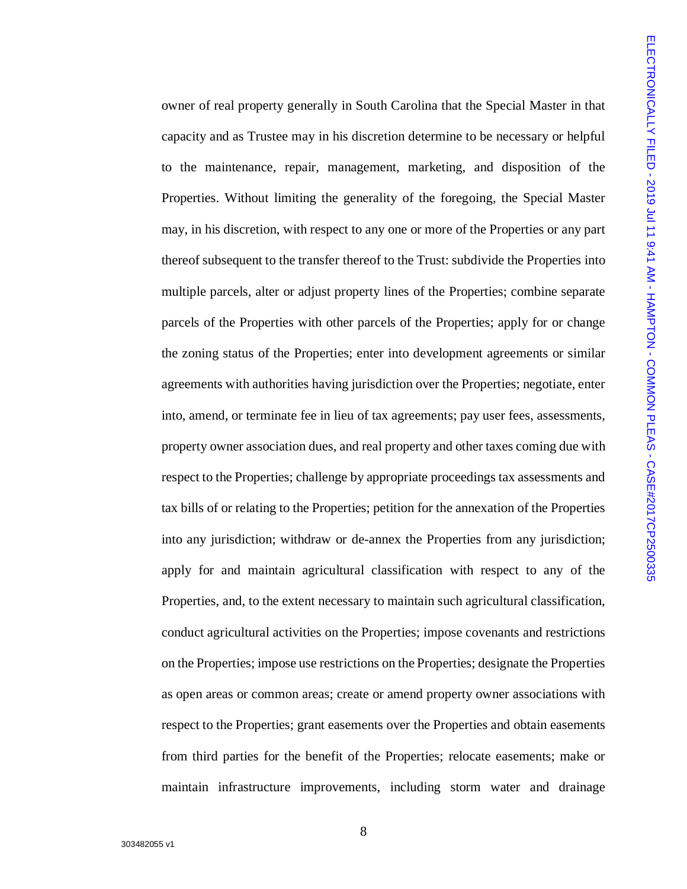owner of real property generally in South Carolina that the Special Master in that capacity and as Trustee may in his discretion determine to be necessary or helpful to the maintenance, repair, management, marketing, and disposition of the Properties. Without limiting the generality of the foregoing, the Special Master may, in his discretion, with respect to any one or more of the Properties or any part thereof subsequent to the transfer thereof to the Trust: subdivide the Properties into multiple parcels, alter or adjust property lines of the Properties; combine separate parcels of the Properties with other parcels of the Properties; apply for or change the zoning status of the Properties; enter into development agreements or similar agreements with authorities having jurisdiction over the Properties; negotiate, enter into, amend, or terminate fee in lieu of tax agreements; pay user fees, assessments, property owner association dues, and real property and other taxes coming due with respect to the Properties; challenge by appropriate proceedings tax assessments and tax bills of or relating to the Properties; petition for the annexation of the Properties into any jurisdiction; withdraw or de-annex the Properties from any jurisdiction; apply for and maintain agricultural classification with respect to any of the Properties, and, to the extent necessary to maintain such agricultural classification, conduct agricultural activities on the Properties; impose covenants and restrictions on the Properties; impose use restrictions on the Properties; designate the Properties as open areas or common areas; create or amend property owner associations with respect to the Properties; grant easements over the Properties and obtain easements from third parties for the benefit of the Properties; relocate easements; make or maintain infrastructure improvements, including storm water and drainage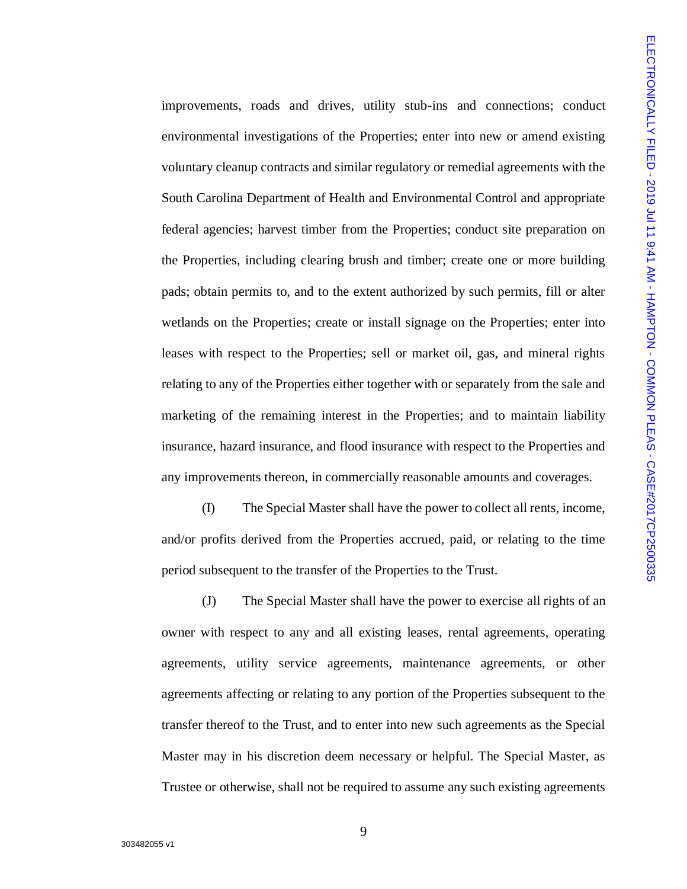improvements, roads and drives, utility stub-ins and connections; conduct environmental investigations of the Properties; enter into new or amend existing voluntary cleanup contracts and similar regulatory or remedial agreements with the South Carolina Department of Health and Environmental Control and appropriate federal agencies; harvest timber from the Properties; conduct site preparation on the Properties, including clearing brush and timber; create one or more building pads; obtain permits to, and to the extent authorized by such permits, fill or alter wetlands on the Properties; create or install signage on the Properties; enter into leases with respect to the Properties; sell or market oil, gas, and mineral rights relating to any of the Properties either together with or separately from the sale and marketing of the remaining interest in the Properties; and to maintain liability insurance, hazard insurance, and flood insurance with respect to the Properties and any improvements thereon, in commercially reasonable amounts and coverages.

(I) The Special Master shall have the power to collect all rents, income, and/or profits derived from the Properties accrued, paid, or relating to the time period subsequent to the transfer of the Properties to the Trust.

(J) The Special Master shall have the power to exercise all rights of an owner with respect to any and all existing leases, rental agreements, operating agreements, utility service agreements, maintenance agreements, or other agreements affecting or relating to any portion of the Properties subsequent to the transfer thereof to the Trust, and to enter into new such agreements as the Special Master may in his discretion deem necessary or helpful. The Special Master, as Trustee or otherwise, shall not be required to assume any such existing agreements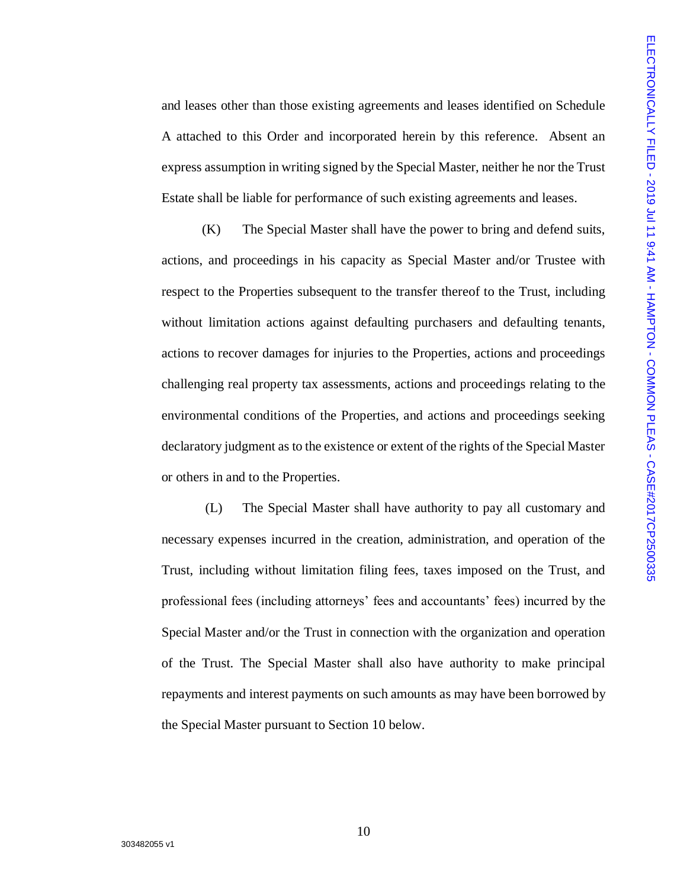and leases other than those existing agreements and leases identified on Schedule A attached to this Order and incorporated herein by this reference. Absent an express assumption in writing signed by the Special Master, neither he nor the Trust Estate shall be liable for performance of such existing agreements and leases.

(K) The Special Master shall have the power to bring and defend suits, actions, and proceedings in his capacity as Special Master and/or Trustee with respect to the Properties subsequent to the transfer thereof to the Trust, including without limitation actions against defaulting purchasers and defaulting tenants, actions to recover damages for injuries to the Properties, actions and proceedings challenging real property tax assessments, actions and proceedings relating to the environmental conditions of the Properties, and actions and proceedings seeking declaratory judgment as to the existence or extent of the rights of the Special Master or others in and to the Properties.

(L) The Special Master shall have authority to pay all customary and necessary expenses incurred in the creation, administration, and operation of the Trust, including without limitation filing fees, taxes imposed on the Trust, and professional fees (including attorneys' fees and accountants' fees) incurred by the Special Master and/or the Trust in connection with the organization and operation of the Trust. The Special Master shall also have authority to make principal repayments and interest payments on such amounts as may have been borrowed by the Special Master pursuant to Section 10 below.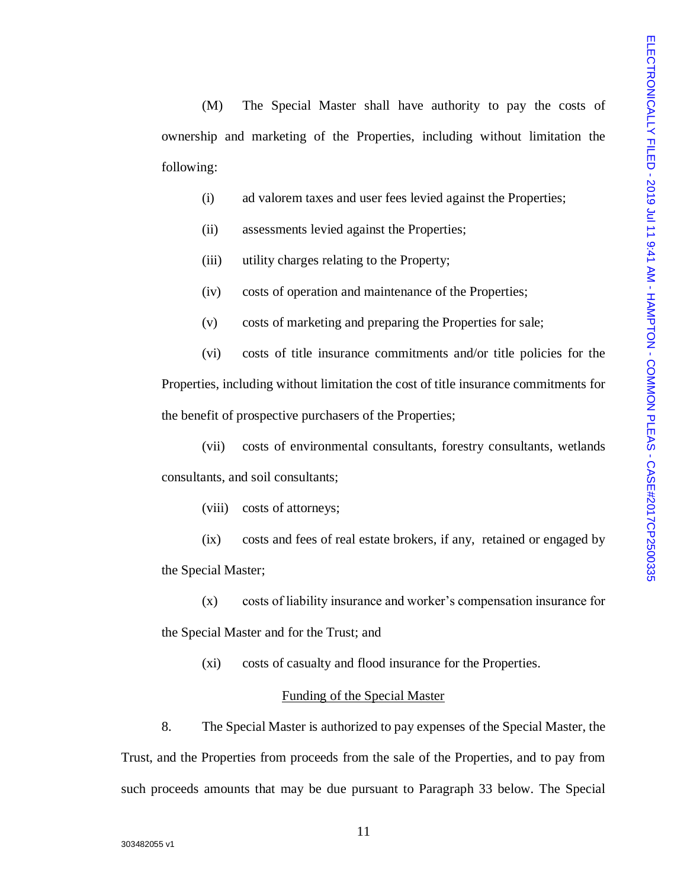(M) The Special Master shall have authority to pay the costs of ownership and marketing of the Properties, including without limitation the following:

- (i) ad valorem taxes and user fees levied against the Properties;
- (ii) assessments levied against the Properties;
- (iii) utility charges relating to the Property;
- (iv) costs of operation and maintenance of the Properties;
- (v) costs of marketing and preparing the Properties for sale;

(vi) costs of title insurance commitments and/or title policies for the Properties, including without limitation the cost of title insurance commitments for the benefit of prospective purchasers of the Properties;

(vii) costs of environmental consultants, forestry consultants, wetlands consultants, and soil consultants;

(viii) costs of attorneys;

(ix) costs and fees of real estate brokers, if any, retained or engaged by the Special Master;

(x) costs of liability insurance and worker's compensation insurance for the Special Master and for the Trust; and

(xi) costs of casualty and flood insurance for the Properties.

#### Funding of the Special Master

8. The Special Master is authorized to pay expenses of the Special Master, the Trust, and the Properties from proceeds from the sale of the Properties, and to pay from such proceeds amounts that may be due pursuant to Paragraph 33 below. The Special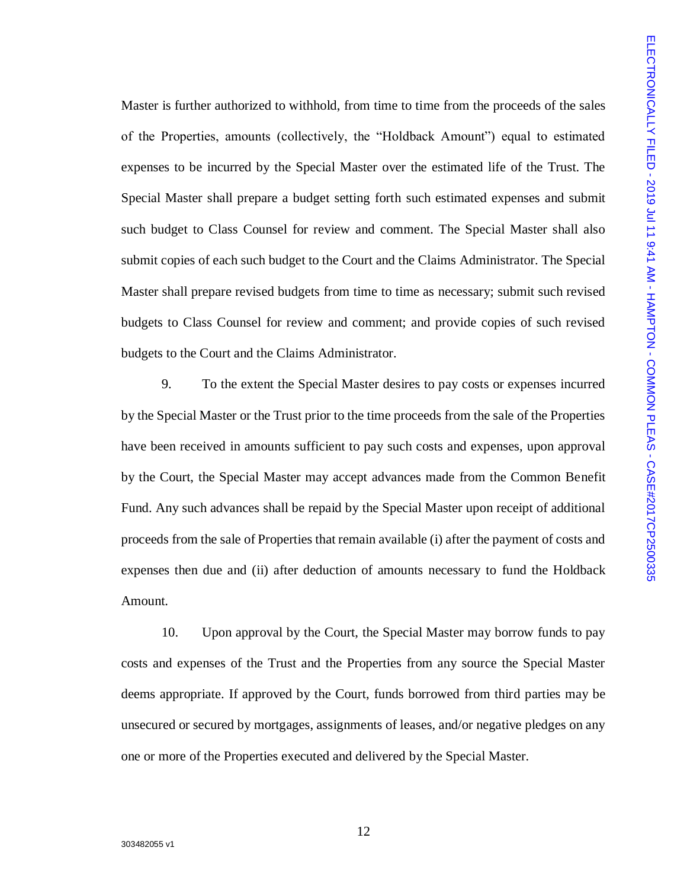Master is further authorized to withhold, from time to time from the proceeds of the sales of the Properties, amounts (collectively, the "Holdback Amount") equal to estimated expenses to be incurred by the Special Master over the estimated life of the Trust. The Special Master shall prepare a budget setting forth such estimated expenses and submit such budget to Class Counsel for review and comment. The Special Master shall also submit copies of each such budget to the Court and the Claims Administrator. The Special Master shall prepare revised budgets from time to time as necessary; submit such revised budgets to Class Counsel for review and comment; and provide copies of such revised budgets to the Court and the Claims Administrator.

9. To the extent the Special Master desires to pay costs or expenses incurred by the Special Master or the Trust prior to the time proceeds from the sale of the Properties have been received in amounts sufficient to pay such costs and expenses, upon approval by the Court, the Special Master may accept advances made from the Common Benefit Fund. Any such advances shall be repaid by the Special Master upon receipt of additional proceeds from the sale of Properties that remain available (i) after the payment of costs and expenses then due and (ii) after deduction of amounts necessary to fund the Holdback Amount.

10. Upon approval by the Court, the Special Master may borrow funds to pay costs and expenses of the Trust and the Properties from any source the Special Master deems appropriate. If approved by the Court, funds borrowed from third parties may be unsecured or secured by mortgages, assignments of leases, and/or negative pledges on any one or more of the Properties executed and delivered by the Special Master.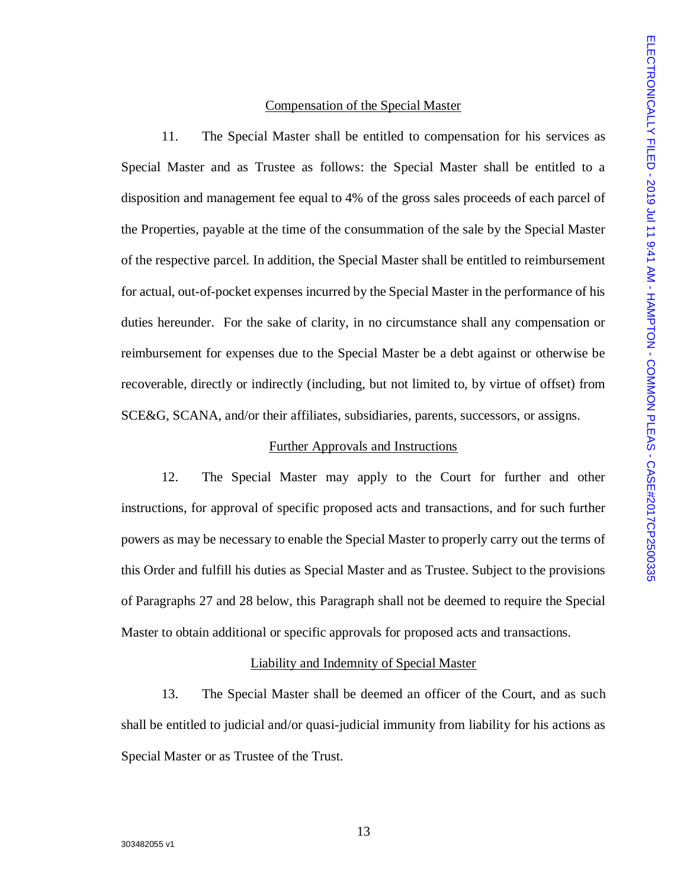# Compensation of the Special Master

11. The Special Master shall be entitled to compensation for his services as Special Master and as Trustee as follows: the Special Master shall be entitled to a disposition and management fee equal to 4% of the gross sales proceeds of each parcel of the Properties, payable at the time of the consummation of the sale by the Special Master of the respective parcel. In addition, the Special Master shall be entitled to reimbursement for actual, out-of-pocket expenses incurred by the Special Master in the performance of his duties hereunder. For the sake of clarity, in no circumstance shall any compensation or reimbursement for expenses due to the Special Master be a debt against or otherwise be recoverable, directly or indirectly (including, but not limited to, by virtue of offset) from SCE&G, SCANA, and/or their affiliates, subsidiaries, parents, successors, or assigns.

# Further Approvals and Instructions

12. The Special Master may apply to the Court for further and other instructions, for approval of specific proposed acts and transactions, and for such further powers as may be necessary to enable the Special Master to properly carry out the terms of this Order and fulfill his duties as Special Master and as Trustee. Subject to the provisions of Paragraphs 27 and 28 below, this Paragraph shall not be deemed to require the Special Master to obtain additional or specific approvals for proposed acts and transactions.

# Liability and Indemnity of Special Master

13. The Special Master shall be deemed an officer of the Court, and as such shall be entitled to judicial and/or quasi-judicial immunity from liability for his actions as Special Master or as Trustee of the Trust.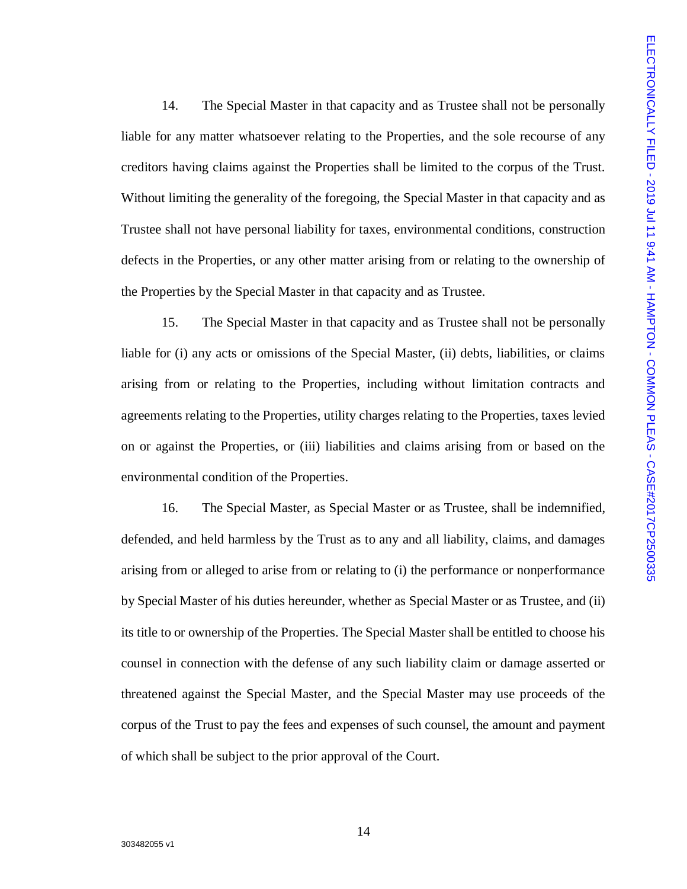14. The Special Master in that capacity and as Trustee shall not be personally liable for any matter whatsoever relating to the Properties, and the sole recourse of any creditors having claims against the Properties shall be limited to the corpus of the Trust. Without limiting the generality of the foregoing, the Special Master in that capacity and as Trustee shall not have personal liability for taxes, environmental conditions, construction defects in the Properties, or any other matter arising from or relating to the ownership of the Properties by the Special Master in that capacity and as Trustee.

15. The Special Master in that capacity and as Trustee shall not be personally liable for (i) any acts or omissions of the Special Master, (ii) debts, liabilities, or claims arising from or relating to the Properties, including without limitation contracts and agreements relating to the Properties, utility charges relating to the Properties, taxes levied on or against the Properties, or (iii) liabilities and claims arising from or based on the environmental condition of the Properties.

16. The Special Master, as Special Master or as Trustee, shall be indemnified, defended, and held harmless by the Trust as to any and all liability, claims, and damages arising from or alleged to arise from or relating to (i) the performance or nonperformance by Special Master of his duties hereunder, whether as Special Master or as Trustee, and (ii) its title to or ownership of the Properties. The Special Master shall be entitled to choose his counsel in connection with the defense of any such liability claim or damage asserted or threatened against the Special Master, and the Special Master may use proceeds of the corpus of the Trust to pay the fees and expenses of such counsel, the amount and payment of which shall be subject to the prior approval of the Court.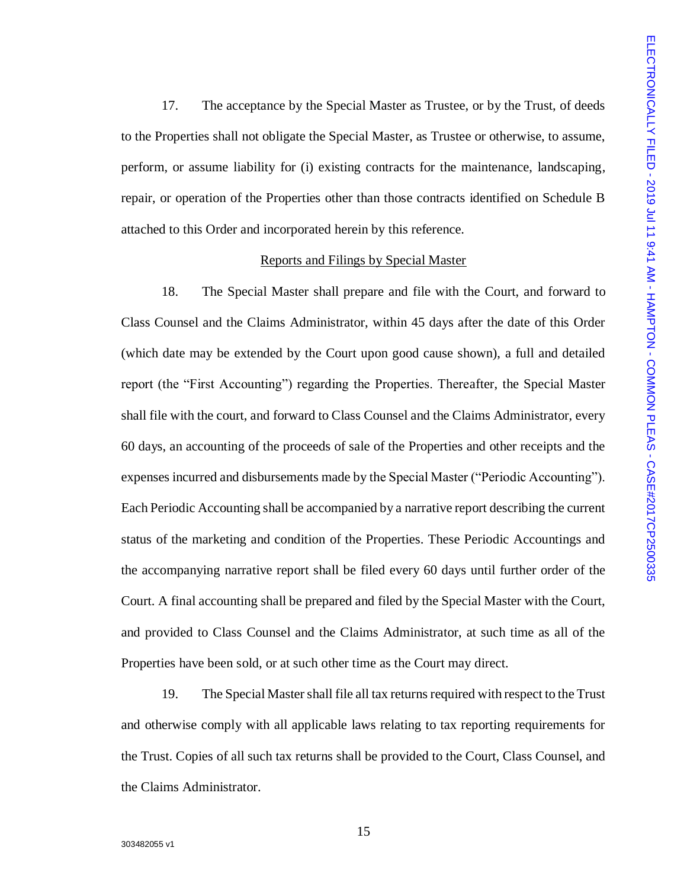17. The acceptance by the Special Master as Trustee, or by the Trust, of deeds to the Properties shall not obligate the Special Master, as Trustee or otherwise, to assume, perform, or assume liability for (i) existing contracts for the maintenance, landscaping, repair, or operation of the Properties other than those contracts identified on Schedule B attached to this Order and incorporated herein by this reference.

### Reports and Filings by Special Master

18. The Special Master shall prepare and file with the Court, and forward to Class Counsel and the Claims Administrator, within 45 days after the date of this Order (which date may be extended by the Court upon good cause shown), a full and detailed report (the "First Accounting") regarding the Properties. Thereafter, the Special Master shall file with the court, and forward to Class Counsel and the Claims Administrator, every 60 days, an accounting of the proceeds of sale of the Properties and other receipts and the expenses incurred and disbursements made by the Special Master ("Periodic Accounting"). Each Periodic Accounting shall be accompanied by a narrative report describing the current status of the marketing and condition of the Properties. These Periodic Accountings and the accompanying narrative report shall be filed every 60 days until further order of the Court. A final accounting shall be prepared and filed by the Special Master with the Court, and provided to Class Counsel and the Claims Administrator, at such time as all of the Properties have been sold, or at such other time as the Court may direct.

19. The Special Master shall file all tax returns required with respect to the Trust and otherwise comply with all applicable laws relating to tax reporting requirements for the Trust. Copies of all such tax returns shall be provided to the Court, Class Counsel, and the Claims Administrator.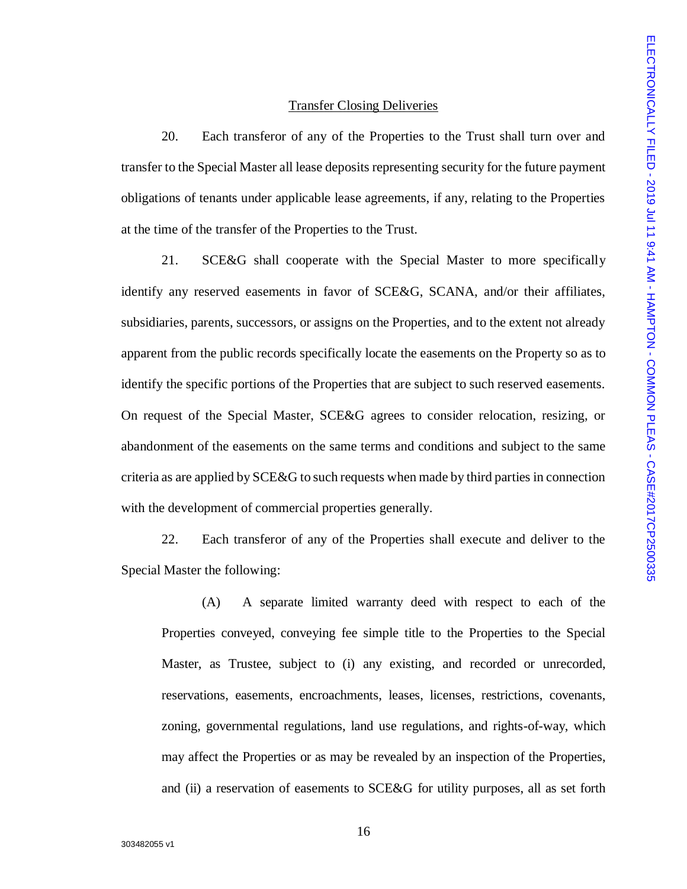## Transfer Closing Deliveries

20. Each transferor of any of the Properties to the Trust shall turn over and transfer to the Special Master all lease deposits representing security for the future payment obligations of tenants under applicable lease agreements, if any, relating to the Properties at the time of the transfer of the Properties to the Trust.

21. SCE&G shall cooperate with the Special Master to more specifically identify any reserved easements in favor of SCE&G, SCANA, and/or their affiliates, subsidiaries, parents, successors, or assigns on the Properties, and to the extent not already apparent from the public records specifically locate the easements on the Property so as to identify the specific portions of the Properties that are subject to such reserved easements. On request of the Special Master, SCE&G agrees to consider relocation, resizing, or abandonment of the easements on the same terms and conditions and subject to the same criteria as are applied by SCE&G to such requests when made by third parties in connection with the development of commercial properties generally.

22. Each transferor of any of the Properties shall execute and deliver to the Special Master the following:

(A) A separate limited warranty deed with respect to each of the Properties conveyed, conveying fee simple title to the Properties to the Special Master, as Trustee, subject to (i) any existing, and recorded or unrecorded, reservations, easements, encroachments, leases, licenses, restrictions, covenants, zoning, governmental regulations, land use regulations, and rights-of-way, which may affect the Properties or as may be revealed by an inspection of the Properties, and (ii) a reservation of easements to SCE&G for utility purposes, all as set forth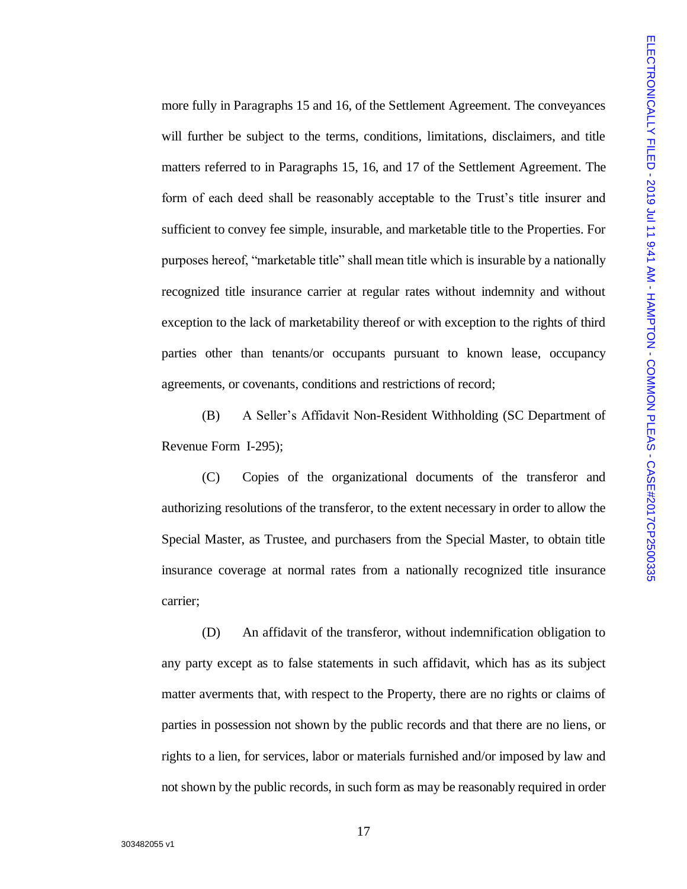more fully in Paragraphs 15 and 16, of the Settlement Agreement. The conveyances will further be subject to the terms, conditions, limitations, disclaimers, and title matters referred to in Paragraphs 15, 16, and 17 of the Settlement Agreement. The form of each deed shall be reasonably acceptable to the Trust's title insurer and sufficient to convey fee simple, insurable, and marketable title to the Properties. For purposes hereof, "marketable title" shall mean title which is insurable by a nationally recognized title insurance carrier at regular rates without indemnity and without exception to the lack of marketability thereof or with exception to the rights of third parties other than tenants/or occupants pursuant to known lease, occupancy agreements, or covenants, conditions and restrictions of record;

(B) A Seller's Affidavit Non-Resident Withholding (SC Department of Revenue Form I-295);

(C) Copies of the organizational documents of the transferor and authorizing resolutions of the transferor, to the extent necessary in order to allow the Special Master, as Trustee, and purchasers from the Special Master, to obtain title insurance coverage at normal rates from a nationally recognized title insurance carrier;

(D) An affidavit of the transferor, without indemnification obligation to any party except as to false statements in such affidavit, which has as its subject matter averments that, with respect to the Property, there are no rights or claims of parties in possession not shown by the public records and that there are no liens, or rights to a lien, for services, labor or materials furnished and/or imposed by law and not shown by the public records, in such form as may be reasonably required in order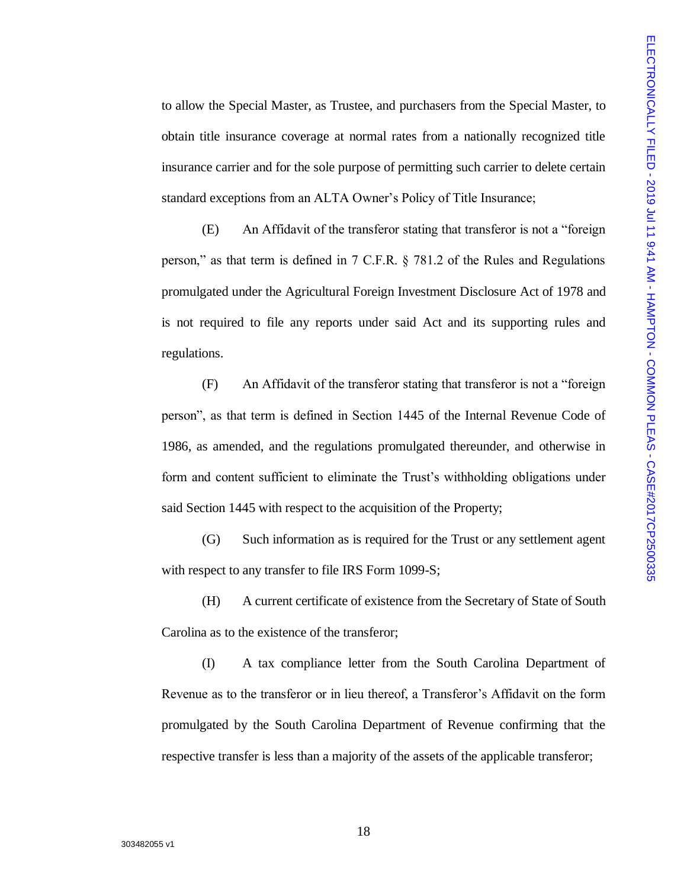to allow the Special Master, as Trustee, and purchasers from the Special Master, to obtain title insurance coverage at normal rates from a nationally recognized title insurance carrier and for the sole purpose of permitting such carrier to delete certain standard exceptions from an ALTA Owner's Policy of Title Insurance;

(E) An Affidavit of the transferor stating that transferor is not a "foreign person," as that term is defined in 7 C.F.R. § 781.2 of the Rules and Regulations promulgated under the Agricultural Foreign Investment Disclosure Act of 1978 and is not required to file any reports under said Act and its supporting rules and regulations.

(F) An Affidavit of the transferor stating that transferor is not a "foreign person", as that term is defined in Section 1445 of the Internal Revenue Code of 1986, as amended, and the regulations promulgated thereunder, and otherwise in form and content sufficient to eliminate the Trust's withholding obligations under said Section 1445 with respect to the acquisition of the Property;

(G) Such information as is required for the Trust or any settlement agent with respect to any transfer to file IRS Form 1099-S;

(H) A current certificate of existence from the Secretary of State of South Carolina as to the existence of the transferor;

(I) A tax compliance letter from the South Carolina Department of Revenue as to the transferor or in lieu thereof, a Transferor's Affidavit on the form promulgated by the South Carolina Department of Revenue confirming that the respective transfer is less than a majority of the assets of the applicable transferor;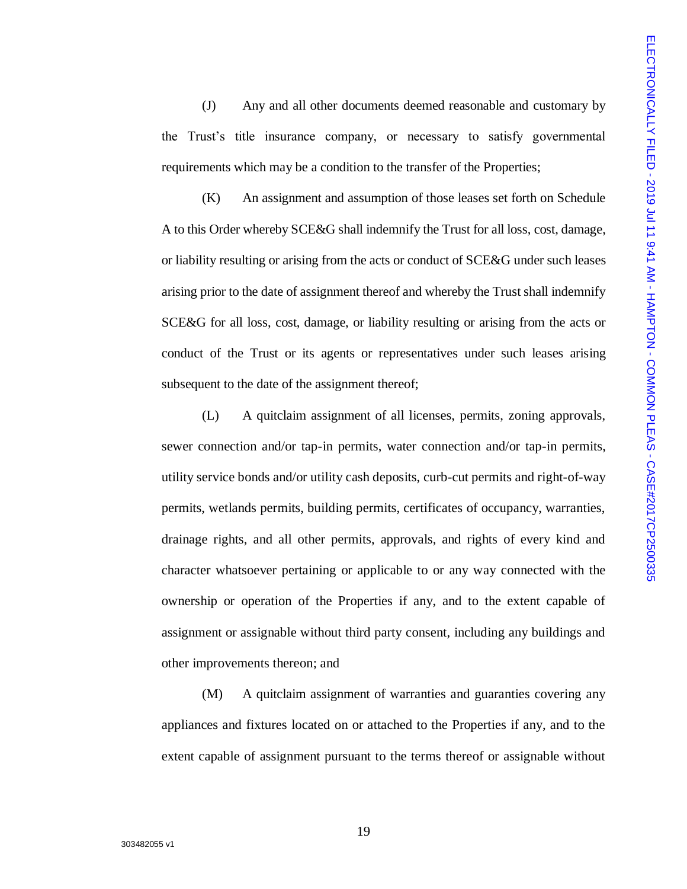(J) Any and all other documents deemed reasonable and customary by the Trust's title insurance company, or necessary to satisfy governmental requirements which may be a condition to the transfer of the Properties;

(K) An assignment and assumption of those leases set forth on Schedule A to this Order whereby SCE&G shall indemnify the Trust for all loss, cost, damage, or liability resulting or arising from the acts or conduct of SCE&G under such leases arising prior to the date of assignment thereof and whereby the Trust shall indemnify SCE&G for all loss, cost, damage, or liability resulting or arising from the acts or conduct of the Trust or its agents or representatives under such leases arising subsequent to the date of the assignment thereof:

(L) A quitclaim assignment of all licenses, permits, zoning approvals, sewer connection and/or tap-in permits, water connection and/or tap-in permits, utility service bonds and/or utility cash deposits, curb-cut permits and right-of-way permits, wetlands permits, building permits, certificates of occupancy, warranties, drainage rights, and all other permits, approvals, and rights of every kind and character whatsoever pertaining or applicable to or any way connected with the ownership or operation of the Properties if any, and to the extent capable of assignment or assignable without third party consent, including any buildings and other improvements thereon; and

(M) A quitclaim assignment of warranties and guaranties covering any appliances and fixtures located on or attached to the Properties if any, and to the extent capable of assignment pursuant to the terms thereof or assignable without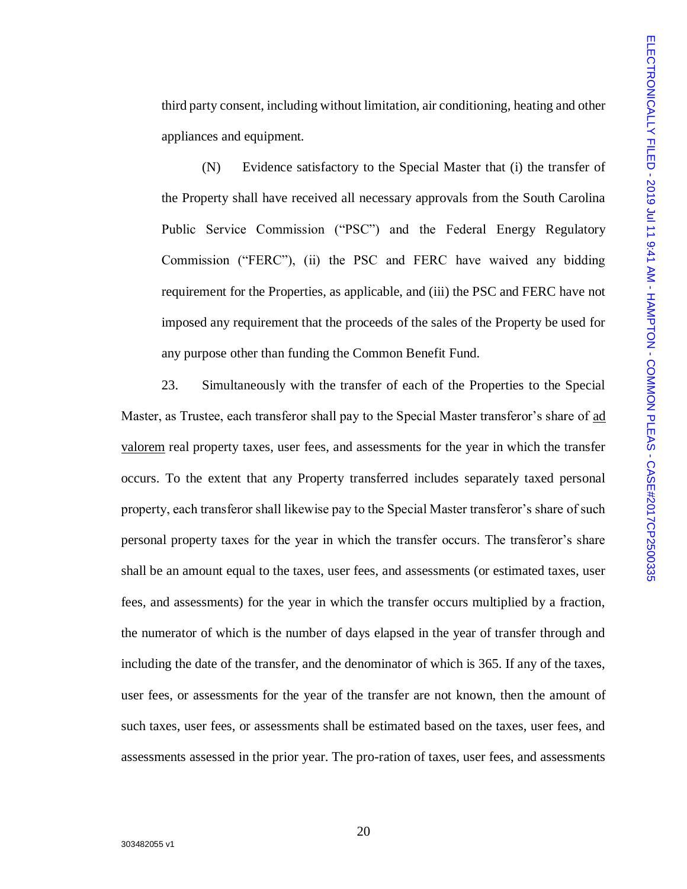third party consent, including without limitation, air conditioning, heating and other appliances and equipment.

(N) Evidence satisfactory to the Special Master that (i) the transfer of the Property shall have received all necessary approvals from the South Carolina Public Service Commission ("PSC") and the Federal Energy Regulatory Commission ("FERC"), (ii) the PSC and FERC have waived any bidding requirement for the Properties, as applicable, and (iii) the PSC and FERC have not imposed any requirement that the proceeds of the sales of the Property be used for any purpose other than funding the Common Benefit Fund.

23. Simultaneously with the transfer of each of the Properties to the Special Master, as Trustee, each transferor shall pay to the Special Master transferor's share of ad valorem real property taxes, user fees, and assessments for the year in which the transfer occurs. To the extent that any Property transferred includes separately taxed personal property, each transferor shall likewise pay to the Special Master transferor's share of such personal property taxes for the year in which the transfer occurs. The transferor's share shall be an amount equal to the taxes, user fees, and assessments (or estimated taxes, user fees, and assessments) for the year in which the transfer occurs multiplied by a fraction, the numerator of which is the number of days elapsed in the year of transfer through and including the date of the transfer, and the denominator of which is 365. If any of the taxes, user fees, or assessments for the year of the transfer are not known, then the amount of such taxes, user fees, or assessments shall be estimated based on the taxes, user fees, and assessments assessed in the prior year. The pro-ration of taxes, user fees, and assessments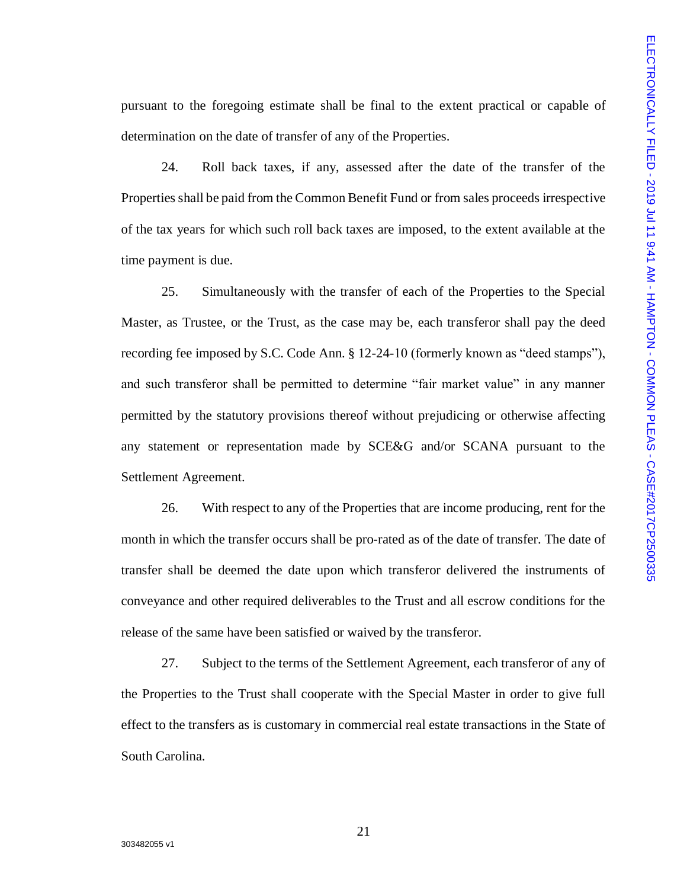pursuant to the foregoing estimate shall be final to the extent practical or capable of determination on the date of transfer of any of the Properties.

24. Roll back taxes, if any, assessed after the date of the transfer of the Properties shall be paid from the Common Benefit Fund or from sales proceeds irrespective of the tax years for which such roll back taxes are imposed, to the extent available at the time payment is due.

25. Simultaneously with the transfer of each of the Properties to the Special Master, as Trustee, or the Trust, as the case may be, each transferor shall pay the deed recording fee imposed by S.C. Code Ann. § 12-24-10 (formerly known as "deed stamps"), and such transferor shall be permitted to determine "fair market value" in any manner permitted by the statutory provisions thereof without prejudicing or otherwise affecting any statement or representation made by SCE&G and/or SCANA pursuant to the Settlement Agreement.

26. With respect to any of the Properties that are income producing, rent for the month in which the transfer occurs shall be pro-rated as of the date of transfer. The date of transfer shall be deemed the date upon which transferor delivered the instruments of conveyance and other required deliverables to the Trust and all escrow conditions for the release of the same have been satisfied or waived by the transferor.

27. Subject to the terms of the Settlement Agreement, each transferor of any of the Properties to the Trust shall cooperate with the Special Master in order to give full effect to the transfers as is customary in commercial real estate transactions in the State of South Carolina.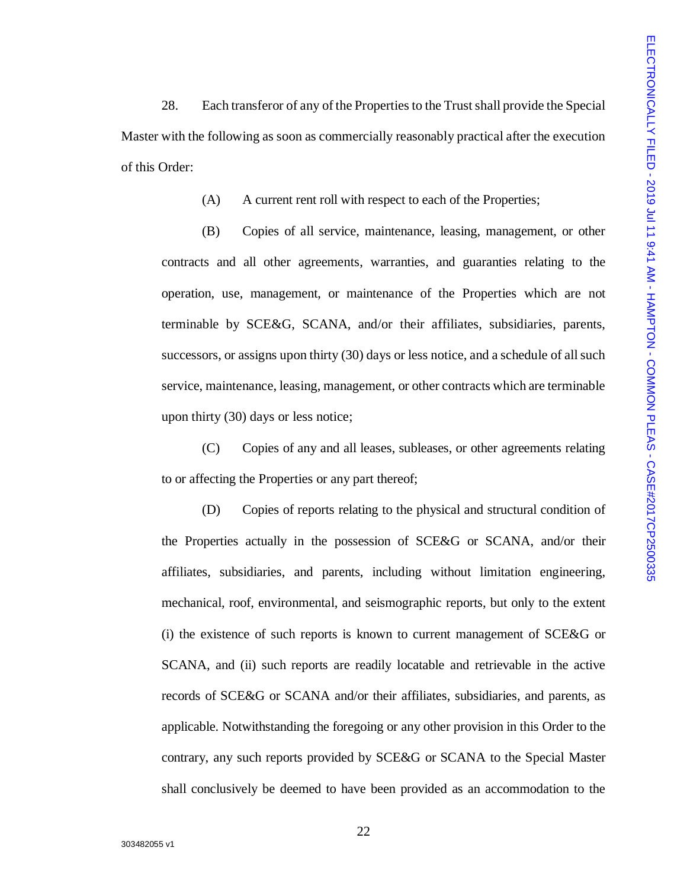28. Each transferor of any of the Properties to the Trust shall provide the Special Master with the following as soon as commercially reasonably practical after the execution of this Order:

(A) A current rent roll with respect to each of the Properties;

(B) Copies of all service, maintenance, leasing, management, or other contracts and all other agreements, warranties, and guaranties relating to the operation, use, management, or maintenance of the Properties which are not terminable by SCE&G, SCANA, and/or their affiliates, subsidiaries, parents, successors, or assigns upon thirty (30) days or less notice, and a schedule of all such service, maintenance, leasing, management, or other contracts which are terminable upon thirty (30) days or less notice;

(C) Copies of any and all leases, subleases, or other agreements relating to or affecting the Properties or any part thereof;

(D) Copies of reports relating to the physical and structural condition of the Properties actually in the possession of SCE&G or SCANA, and/or their affiliates, subsidiaries, and parents, including without limitation engineering, mechanical, roof, environmental, and seismographic reports, but only to the extent (i) the existence of such reports is known to current management of SCE&G or SCANA, and (ii) such reports are readily locatable and retrievable in the active records of SCE&G or SCANA and/or their affiliates, subsidiaries, and parents, as applicable. Notwithstanding the foregoing or any other provision in this Order to the contrary, any such reports provided by SCE&G or SCANA to the Special Master shall conclusively be deemed to have been provided as an accommodation to the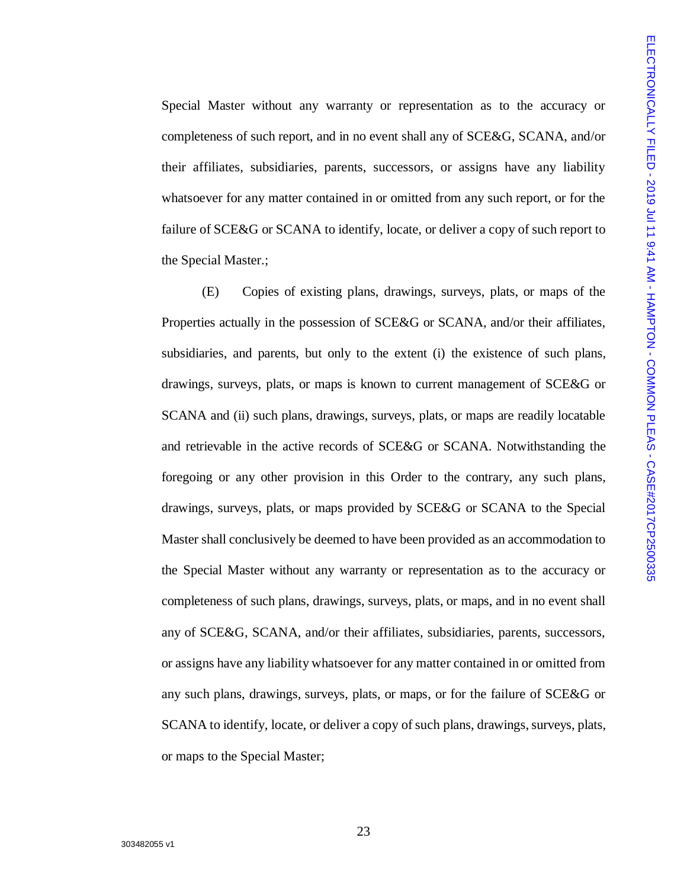Special Master without any warranty or representation as to the accuracy or completeness of such report, and in no event shall any of SCE&G, SCANA, and/or their affiliates, subsidiaries, parents, successors, or assigns have any liability whatsoever for any matter contained in or omitted from any such report, or for the failure of SCE&G or SCANA to identify, locate, or deliver a copy of such report to the Special Master.;

(E) Copies of existing plans, drawings, surveys, plats, or maps of the Properties actually in the possession of SCE&G or SCANA, and/or their affiliates, subsidiaries, and parents, but only to the extent (i) the existence of such plans, drawings, surveys, plats, or maps is known to current management of SCE&G or SCANA and (ii) such plans, drawings, surveys, plats, or maps are readily locatable and retrievable in the active records of SCE&G or SCANA. Notwithstanding the foregoing or any other provision in this Order to the contrary, any such plans, drawings, surveys, plats, or maps provided by SCE&G or SCANA to the Special Master shall conclusively be deemed to have been provided as an accommodation to the Special Master without any warranty or representation as to the accuracy or completeness of such plans, drawings, surveys, plats, or maps, and in no event shall any of SCE&G, SCANA, and/or their affiliates, subsidiaries, parents, successors, or assigns have any liability whatsoever for any matter contained in or omitted from any such plans, drawings, surveys, plats, or maps, or for the failure of SCE&G or SCANA to identify, locate, or deliver a copy of such plans, drawings, surveys, plats, or maps to the Special Master;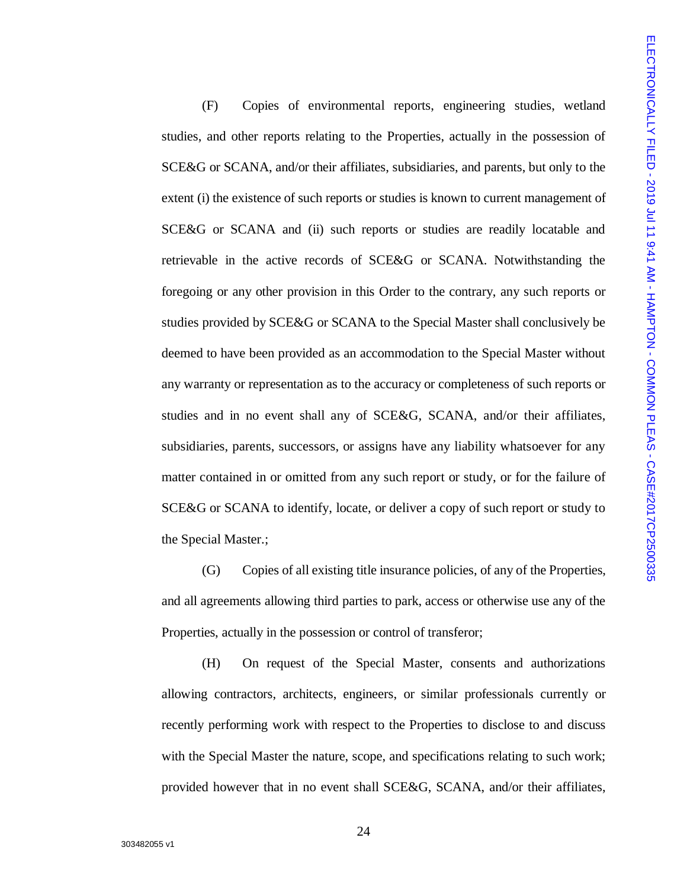(F) Copies of environmental reports, engineering studies, wetland studies, and other reports relating to the Properties, actually in the possession of SCE&G or SCANA, and/or their affiliates, subsidiaries, and parents, but only to the extent (i) the existence of such reports or studies is known to current management of SCE&G or SCANA and (ii) such reports or studies are readily locatable and retrievable in the active records of SCE&G or SCANA. Notwithstanding the foregoing or any other provision in this Order to the contrary, any such reports or studies provided by SCE&G or SCANA to the Special Master shall conclusively be deemed to have been provided as an accommodation to the Special Master without any warranty or representation as to the accuracy or completeness of such reports or studies and in no event shall any of SCE&G, SCANA, and/or their affiliates, subsidiaries, parents, successors, or assigns have any liability whatsoever for any matter contained in or omitted from any such report or study, or for the failure of SCE&G or SCANA to identify, locate, or deliver a copy of such report or study to the Special Master.;

(G) Copies of all existing title insurance policies, of any of the Properties, and all agreements allowing third parties to park, access or otherwise use any of the Properties, actually in the possession or control of transferor;

(H) On request of the Special Master, consents and authorizations allowing contractors, architects, engineers, or similar professionals currently or recently performing work with respect to the Properties to disclose to and discuss with the Special Master the nature, scope, and specifications relating to such work; provided however that in no event shall SCE&G, SCANA, and/or their affiliates,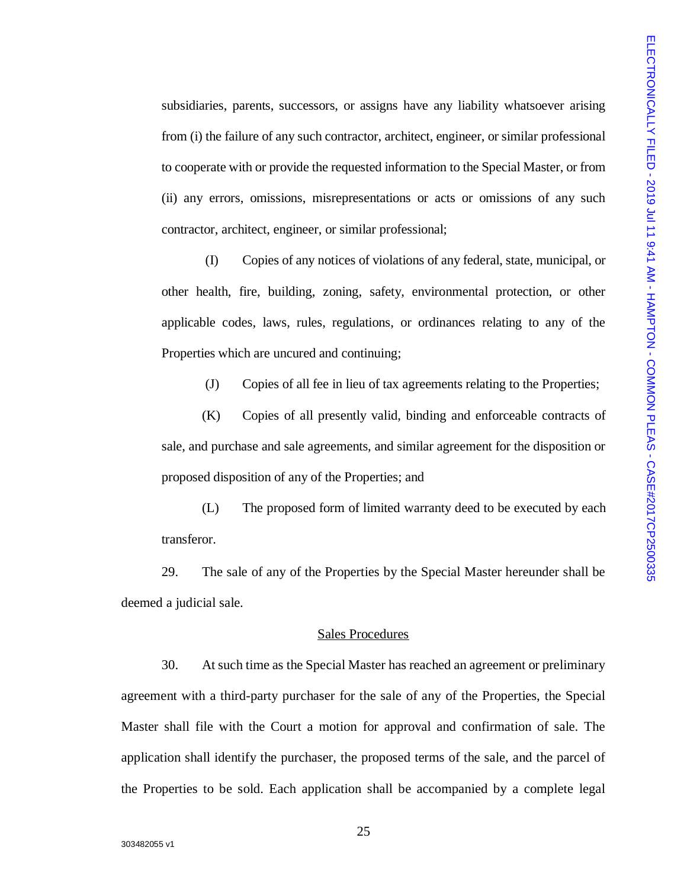subsidiaries, parents, successors, or assigns have any liability whatsoever arising from (i) the failure of any such contractor, architect, engineer, or similar professional to cooperate with or provide the requested information to the Special Master, or from (ii) any errors, omissions, misrepresentations or acts or omissions of any such contractor, architect, engineer, or similar professional;

(I) Copies of any notices of violations of any federal, state, municipal, or other health, fire, building, zoning, safety, environmental protection, or other applicable codes, laws, rules, regulations, or ordinances relating to any of the Properties which are uncured and continuing;

(J) Copies of all fee in lieu of tax agreements relating to the Properties;

(K) Copies of all presently valid, binding and enforceable contracts of sale, and purchase and sale agreements, and similar agreement for the disposition or proposed disposition of any of the Properties; and

(L) The proposed form of limited warranty deed to be executed by each transferor.

29. The sale of any of the Properties by the Special Master hereunder shall be deemed a judicial sale.

#### Sales Procedures

30. At such time as the Special Master has reached an agreement or preliminary agreement with a third-party purchaser for the sale of any of the Properties, the Special Master shall file with the Court a motion for approval and confirmation of sale. The application shall identify the purchaser, the proposed terms of the sale, and the parcel of the Properties to be sold. Each application shall be accompanied by a complete legal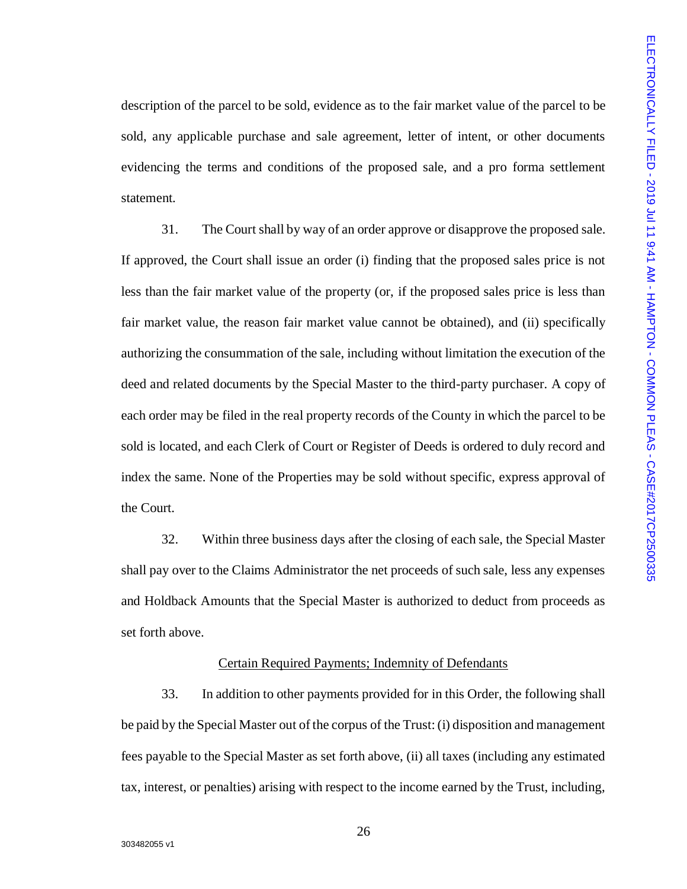description of the parcel to be sold, evidence as to the fair market value of the parcel to be sold, any applicable purchase and sale agreement, letter of intent, or other documents evidencing the terms and conditions of the proposed sale, and a pro forma settlement statement.

31. The Court shall by way of an order approve or disapprove the proposed sale. If approved, the Court shall issue an order (i) finding that the proposed sales price is not less than the fair market value of the property (or, if the proposed sales price is less than fair market value, the reason fair market value cannot be obtained), and (ii) specifically authorizing the consummation of the sale, including without limitation the execution of the deed and related documents by the Special Master to the third-party purchaser. A copy of each order may be filed in the real property records of the County in which the parcel to be sold is located, and each Clerk of Court or Register of Deeds is ordered to duly record and index the same. None of the Properties may be sold without specific, express approval of the Court.

32. Within three business days after the closing of each sale, the Special Master shall pay over to the Claims Administrator the net proceeds of such sale, less any expenses and Holdback Amounts that the Special Master is authorized to deduct from proceeds as set forth above.

# Certain Required Payments; Indemnity of Defendants

33. In addition to other payments provided for in this Order, the following shall be paid by the Special Master out of the corpus of the Trust: (i) disposition and management fees payable to the Special Master as set forth above, (ii) all taxes (including any estimated tax, interest, or penalties) arising with respect to the income earned by the Trust, including,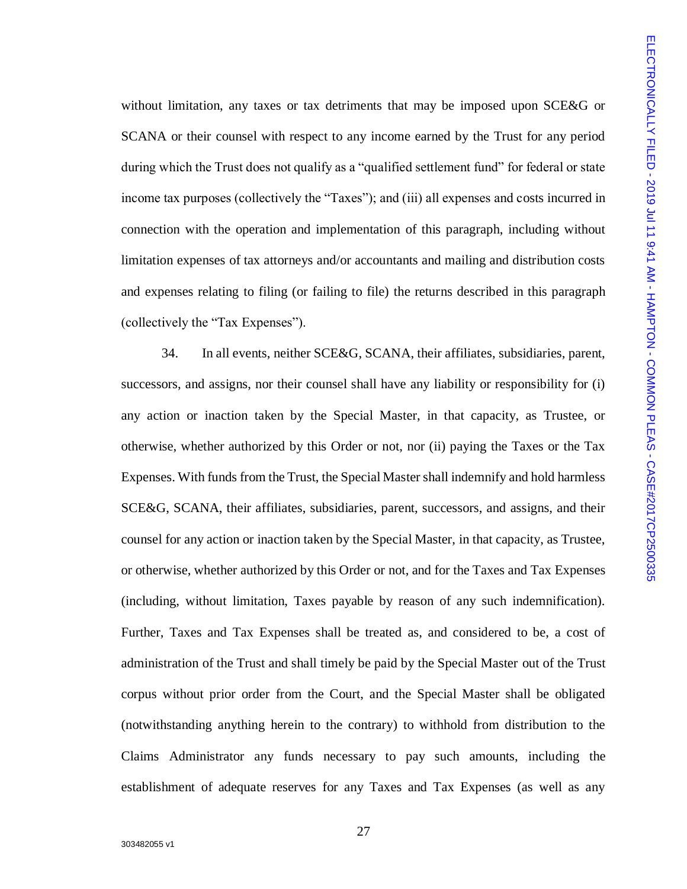without limitation, any taxes or tax detriments that may be imposed upon SCE&G or SCANA or their counsel with respect to any income earned by the Trust for any period during which the Trust does not qualify as a "qualified settlement fund" for federal or state income tax purposes (collectively the "Taxes"); and (iii) all expenses and costs incurred in connection with the operation and implementation of this paragraph, including without limitation expenses of tax attorneys and/or accountants and mailing and distribution costs and expenses relating to filing (or failing to file) the returns described in this paragraph (collectively the "Tax Expenses").

34. In all events, neither SCE&G, SCANA, their affiliates, subsidiaries, parent, successors, and assigns, nor their counsel shall have any liability or responsibility for (i) any action or inaction taken by the Special Master, in that capacity, as Trustee, or otherwise, whether authorized by this Order or not, nor (ii) paying the Taxes or the Tax Expenses. With funds from the Trust, the Special Master shall indemnify and hold harmless SCE&G, SCANA, their affiliates, subsidiaries, parent, successors, and assigns, and their counsel for any action or inaction taken by the Special Master, in that capacity, as Trustee, or otherwise, whether authorized by this Order or not, and for the Taxes and Tax Expenses (including, without limitation, Taxes payable by reason of any such indemnification). Further, Taxes and Tax Expenses shall be treated as, and considered to be, a cost of administration of the Trust and shall timely be paid by the Special Master out of the Trust corpus without prior order from the Court, and the Special Master shall be obligated (notwithstanding anything herein to the contrary) to withhold from distribution to the Claims Administrator any funds necessary to pay such amounts, including the establishment of adequate reserves for any Taxes and Tax Expenses (as well as any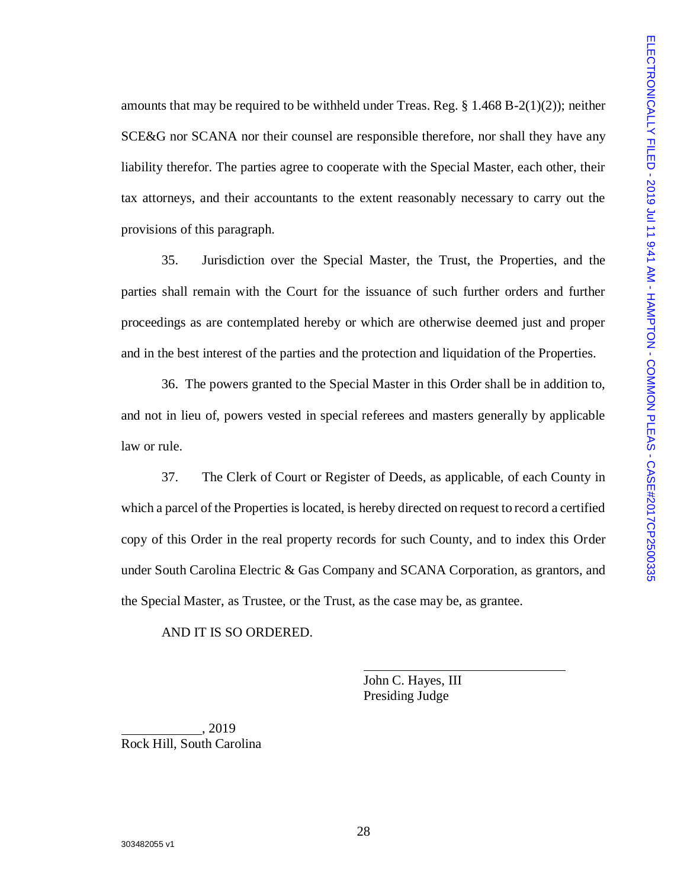amounts that may be required to be withheld under Treas. Reg.  $\S$  1.468 B-2(1)(2)); neither SCE&G nor SCANA nor their counsel are responsible therefore, nor shall they have any liability therefor. The parties agree to cooperate with the Special Master, each other, their tax attorneys, and their accountants to the extent reasonably necessary to carry out the provisions of this paragraph.

35. Jurisdiction over the Special Master, the Trust, the Properties, and the parties shall remain with the Court for the issuance of such further orders and further proceedings as are contemplated hereby or which are otherwise deemed just and proper and in the best interest of the parties and the protection and liquidation of the Properties.

36. The powers granted to the Special Master in this Order shall be in addition to, and not in lieu of, powers vested in special referees and masters generally by applicable law or rule.

37. The Clerk of Court or Register of Deeds, as applicable, of each County in which a parcel of the Properties is located, is hereby directed on request to record a certified copy of this Order in the real property records for such County, and to index this Order under South Carolina Electric & Gas Company and SCANA Corporation, as grantors, and the Special Master, as Trustee, or the Trust, as the case may be, as grantee.

AND IT IS SO ORDERED.

John C. Hayes, III Presiding Judge

, 2019 Rock Hill, South Carolina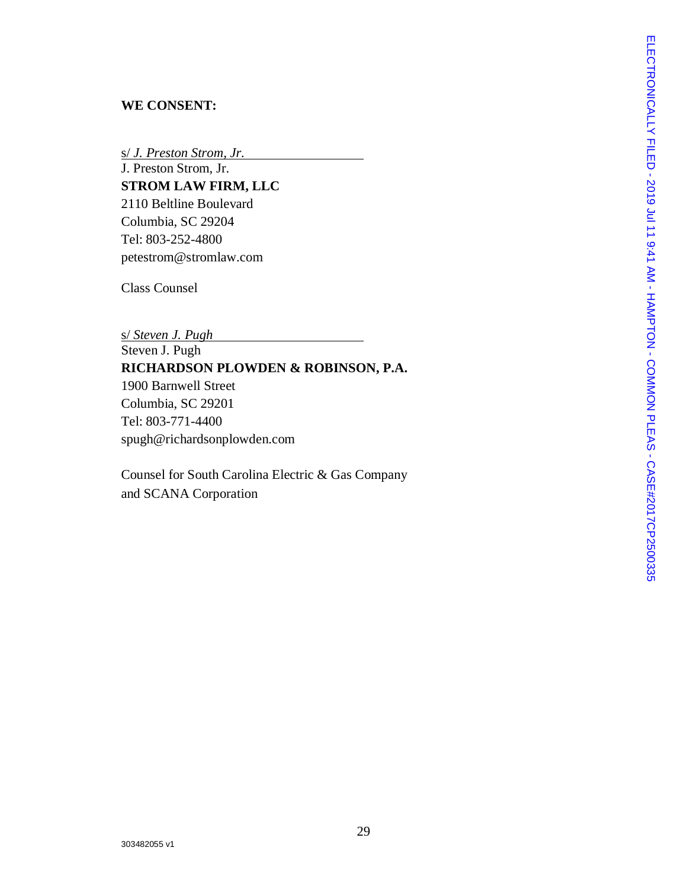# **WE CONSENT:**

s/ *J. Preston Strom, Jr.*

J. Preston Strom, Jr. **STROM LAW FIRM, LLC** 2110 Beltline Boulevard Columbia, SC 29204 Tel: 803 -252 -4800 petestrom@stromlaw.com

Class Counsel

s/ *Steven J. Pugh* Steven J. Pugh **RICHARDSON PLOWDEN & ROBINSON, P.A.** 1900 Barnwell Street [Columbia,](https://www.google.com/maps/dir/1900+Barnwell+St,+Columbia,+SC+29201/@34.014221,-81.0296188,17z/data=!4m8!4m7!1m0!1m5!1m1!1s0x88f8a5289e0c39bd:0x262f0388cdc390b5!2m2!1d-81.027473!2d34.014221) SC 29201 Tel: 803 -771 -4400 [spugh@richardsonplowden.com](mailto:spugh@richardsonplowden.com)

Counsel for South Carolina Electric & Gas Company and SCANA Corporation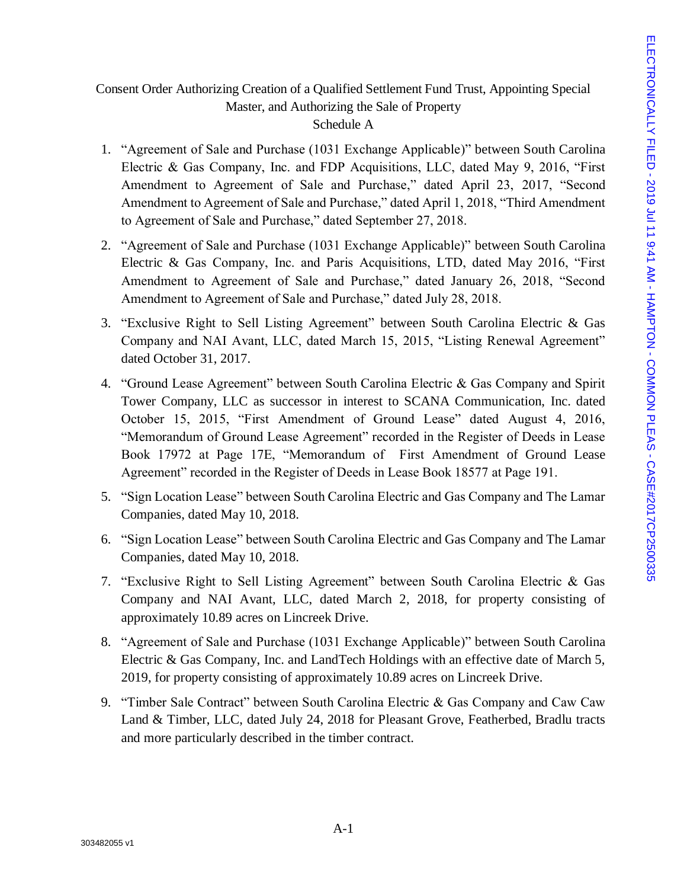# Consent Order Authorizing Creation of a Qualified Settlement Fund Trust, Appointing Special Master, and Authorizing the Sale of Property

# Schedule A

- 1. "Agreement of Sale and Purchase (1031 Exchange Applicable)" between South Carolina Electric & Gas Company, Inc. and FDP Acquisitions, LLC, dated May 9, 2016, "First Amendment to Agreement of Sale and Purchase," dated April 23, 2017, "Second Amendment to Agreement of Sale and Purchase," dated April 1, 2018, "Third Amendment to Agreement of Sale and Purchase," dated September 27, 2018.
- 2. "Agreement of Sale and Purchase (1031 Exchange Applicable)" between South Carolina Electric & Gas Company, Inc. and Paris Acquisitions, LTD, dated May 2016, "First Amendment to Agreement of Sale and Purchase," dated January 26, 2018, "Second Amendment to Agreement of Sale and Purchase," dated July 28, 2018.
- 3. "Exclusive Right to Sell Listing Agreement" between South Carolina Electric & Gas Company and NAI Avant, LLC, dated March 15, 2015, "Listing Renewal Agreement" dated October 31, 2017.
- 4. "Ground Lease Agreement" between South Carolina Electric & Gas Company and Spirit Tower Company, LLC as successor in interest to SCANA Communication, Inc. dated October 15, 2015, "First Amendment of Ground Lease" dated August 4, 2016, "Memorandum of Ground Lease Agreement" recorded in the Register of Deeds in Lease Book 17972 at Page 17E, "Memorandum of First Amendment of Ground Lease Agreement" recorded in the Register of Deeds in Lease Book 18577 at Page 191.
- 5. "Sign Location Lease" between South Carolina Electric and Gas Company and The Lamar Companies, dated May 10, 2018.
- 6. "Sign Location Lease" between South Carolina Electric and Gas Company and The Lamar Companies, dated May 10, 2018.
- 7. "Exclusive Right to Sell Listing Agreement" between South Carolina Electric & Gas Company and NAI Avant, LLC, dated March 2, 2018, for property consisting of approximately 10.89 acres on Lincreek Drive.
- 8. "Agreement of Sale and Purchase (1031 Exchange Applicable)" between South Carolina Electric & Gas Company, Inc. and LandTech Holdings with an effective date of March 5, 2019, for property consisting of approximately 10.89 acres on Lincreek Drive.
- 9. "Timber Sale Contract" between South Carolina Electric & Gas Company and Caw Caw Land & Timber, LLC, dated July 24, 2018 for Pleasant Grove, Featherbed, Bradlu tracts and more particularly described in the timber contract.